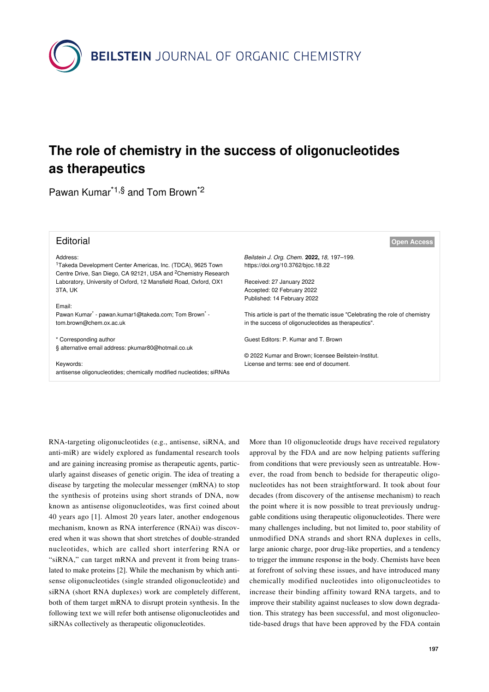

## **The role of chemistry in the success of oligonucleotides as therapeutics**

Pawan Kumar\*1,§ and Tom Brown\*2

| <b>Open Access</b>                                                            |
|-------------------------------------------------------------------------------|
| Beilstein J. Org. Chem. 2022, 18, 197-199.                                    |
| https://doi.org/10.3762/bjoc.18.22                                            |
| Received: 27 January 2022                                                     |
| Accepted: 02 February 2022                                                    |
| Published: 14 February 2022                                                   |
|                                                                               |
| This article is part of the thematic issue "Celebrating the role of chemistry |
| in the success of oligonucleotides as therapeutics".                          |
|                                                                               |
| Guest Editors: P. Kumar and T. Brown                                          |
|                                                                               |
| © 2022 Kumar and Brown; licensee Beilstein-Institut.                          |
| License and terms: see end of document.                                       |
|                                                                               |
|                                                                               |

RNA-targeting oligonucleotides (e.g., antisense, siRNA, and anti-miR) are widely explored as fundamental research tools and are gaining increasing promise as therapeutic agents, particularly against diseases of genetic origin. The idea of treating a disease by targeting the molecular messenger (mRNA) to stop the synthesis of proteins using short strands of DNA, now known as antisense oligonucleotides, was first coined about 40 years ago [\[1\]](#page-2-0). Almost 20 years later, another endogenous mechanism, known as RNA interference (RNAi) was discovered when it was shown that short stretches of double-stranded nucleotides, which are called short interfering RNA or "siRNA," can target mRNA and prevent it from being translated to make proteins [\[2\].](#page-2-1) While the mechanism by which antisense oligonucleotides (single stranded oligonucleotide) and siRNA (short RNA duplexes) work are completely different, both of them target mRNA to disrupt protein synthesis. In the following text we will refer both antisense oligonucleotides and siRNAs collectively as therapeutic oligonucleotides.

More than 10 oligonucleotide drugs have received regulatory approval by the FDA and are now helping patients suffering from conditions that were previously seen as untreatable. However, the road from bench to bedside for therapeutic oligonucleotides has not been straightforward. It took about four decades (from discovery of the antisense mechanism) to reach the point where it is now possible to treat previously undruggable conditions using therapeutic oligonucleotides. There were many challenges including, but not limited to, poor stability of unmodified DNA strands and short RNA duplexes in cells, large anionic charge, poor drug-like properties, and a tendency to trigger the immune response in the body. Chemists have been at forefront of solving these issues, and have introduced many chemically modified nucleotides into oligonucleotides to increase their binding affinity toward RNA targets, and to improve their stability against nucleases to slow down degradation. This strategy has been successful, and most oligonucleotide-based drugs that have been approved by the FDA contain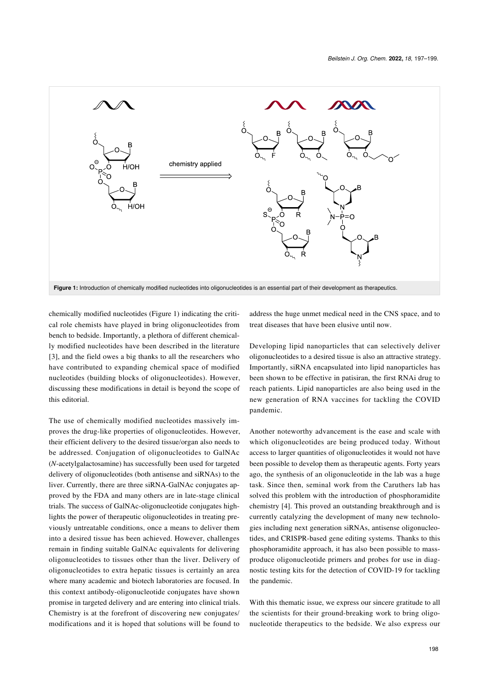<span id="page-1-0"></span>

chemically modified nucleotides ([Figure 1](#page-1-0)) indicating the critical role chemists have played in bring oligonucleotides from bench to bedside. Importantly, a plethora of different chemically modified nucleotides have been described in the literature [\[3\]](#page-2-2), and the field owes a big thanks to all the researchers who have contributed to expanding chemical space of modified nucleotides (building blocks of oligonucleotides). However, discussing these modifications in detail is beyond the scope of this editorial.

The use of chemically modified nucleotides massively improves the drug-like properties of oligonucleotides. However, their efficient delivery to the desired tissue/organ also needs to be addressed. Conjugation of oligonucleotides to GalNAc (*N*-acetylgalactosamine) has successfully been used for targeted delivery of oligonucleotides (both antisense and siRNAs) to the liver. Currently, there are three siRNA-GalNAc conjugates approved by the FDA and many others are in late-stage clinical trials. The success of GalNAc-oligonucleotide conjugates highlights the power of therapeutic oligonucleotides in treating previously untreatable conditions, once a means to deliver them into a desired tissue has been achieved. However, challenges remain in finding suitable GalNAc equivalents for delivering oligonucleotides to tissues other than the liver. Delivery of oligonucleotides to extra hepatic tissues is certainly an area where many academic and biotech laboratories are focused. In this context antibody-oligonucleotide conjugates have shown promise in targeted delivery and are entering into clinical trials. Chemistry is at the forefront of discovering new conjugates/ modifications and it is hoped that solutions will be found to

address the huge unmet medical need in the CNS space, and to treat diseases that have been elusive until now.

Developing lipid nanoparticles that can selectively deliver oligonucleotides to a desired tissue is also an attractive strategy. Importantly, siRNA encapsulated into lipid nanoparticles has been shown to be effective in patisiran, the first RNAi drug to reach patients. Lipid nanoparticles are also being used in the new generation of RNA vaccines for tackling the COVID pandemic.

Another noteworthy advancement is the ease and scale with which oligonucleotides are being produced today. Without access to larger quantities of oligonucleotides it would not have been possible to develop them as therapeutic agents. Forty years ago, the synthesis of an oligonucleotide in the lab was a huge task. Since then, seminal work from the Caruthers lab has solved this problem with the introduction of phosphoramidite chemistry [\[4\]](#page-2-3). This proved an outstanding breakthrough and is currently catalyzing the development of many new technologies including next generation siRNAs, antisense oligonucleotides, and CRISPR-based gene editing systems. Thanks to this phosphoramidite approach, it has also been possible to massproduce oligonucleotide primers and probes for use in diagnostic testing kits for the detection of COVID-19 for tackling the pandemic.

With this thematic issue, we express our sincere gratitude to all the scientists for their ground-breaking work to bring oligonucleotide therapeutics to the bedside. We also express our